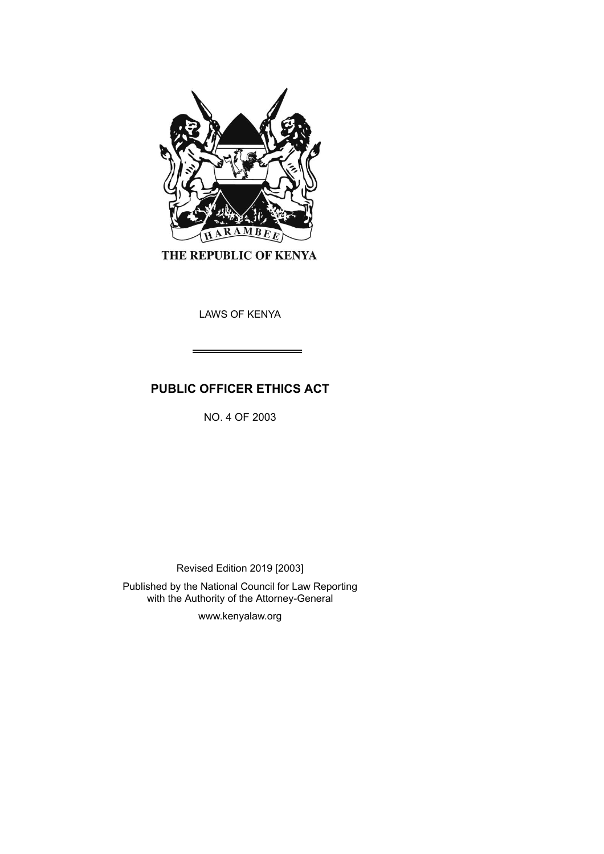

THE REPUBLIC OF KENYA

LAWS OF KENYA

# **PUBLIC OFFICER ETHICS ACT**

NO. 4 OF 2003

Revised Edition 2019 [2003]

Published by the National Council for Law Reporting with the Authority of the Attorney-General

www.kenyalaw.org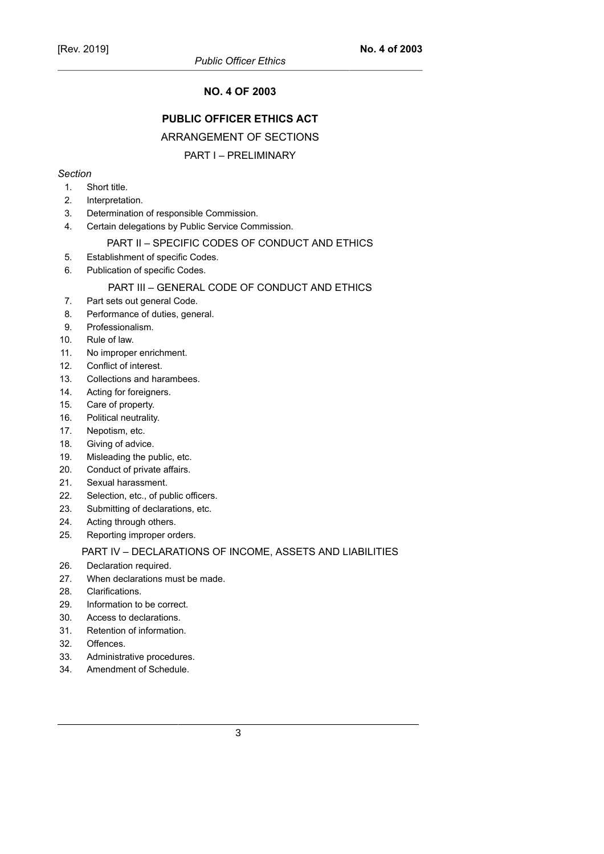# **NO. 4 OF 2003**

# **PUBLIC OFFICER ETHICS ACT**

# ARRANGEMENT OF SECTIONS

# PART I – PRELIMINARY

### *Section*

- 1. Short title.
- 2. Interpretation.
- 3. Determination of responsible Commission.
- 4. Certain delegations by Public Service Commission.

### PART II – SPECIFIC CODES OF CONDUCT AND ETHICS

- 5. Establishment of specific Codes.
- 6. Publication of specific Codes.

### PART III – GENERAL CODE OF CONDUCT AND ETHICS

- 7. Part sets out general Code.
- 8. Performance of duties, general.
- 9. Professionalism.
- 10. Rule of law.
- 11. No improper enrichment.
- 12. Conflict of interest.
- 13. Collections and harambees.
- 14. Acting for foreigners.
- 15. Care of property.
- 16. Political neutrality.
- 17. Nepotism, etc.
- 18. Giving of advice.
- 19. Misleading the public, etc.
- 20. Conduct of private affairs.
- 21. Sexual harassment.
- 22. Selection, etc., of public officers.
- 23. Submitting of declarations, etc.
- 24. Acting through others.
- 25. Reporting improper orders.

### PART IV – DECLARATIONS OF INCOME, ASSETS AND LIABILITIES

- 26. Declaration required.
- 27. When declarations must be made.
- 28. Clarifications.
- 29. Information to be correct.
- 30. Access to declarations.
- 31. Retention of information.
- 32. Offences.
- 33. Administrative procedures.
- 34. Amendment of Schedule.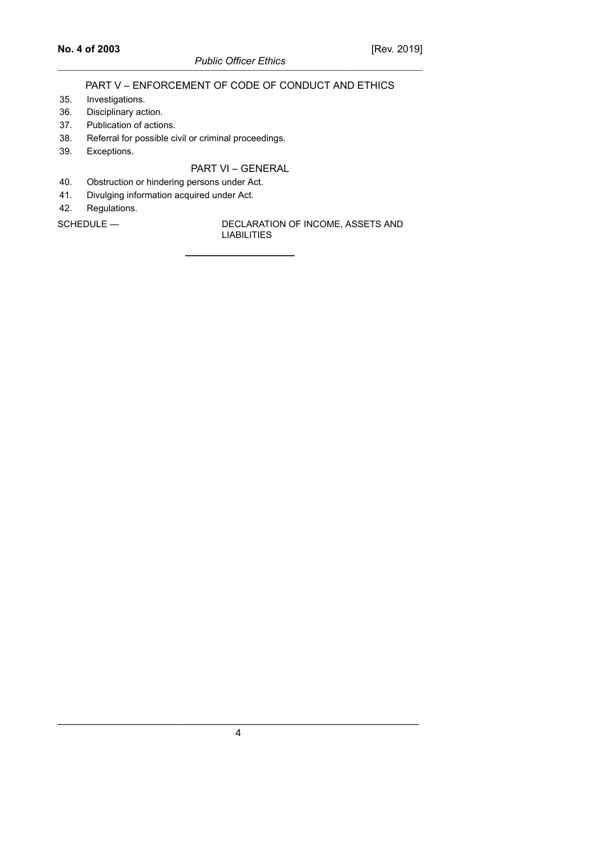# *Public Officer Ethics*

# PART V – ENFORCEMENT OF CODE OF CONDUCT AND ETHICS

- 35. Investigations.
- 36. Disciplinary action.
- 37. Publication of actions.
- 38. Referral for possible civil or criminal proceedings.
- 39. Exceptions.

# PART VI – GENERAL

- 40. Obstruction or hindering persons under Act.
- 41. Divulging information acquired under Act.
- 42. Regulations.

SCHEDULE — DECLARATION OF INCOME, ASSETS AND LIABILITIES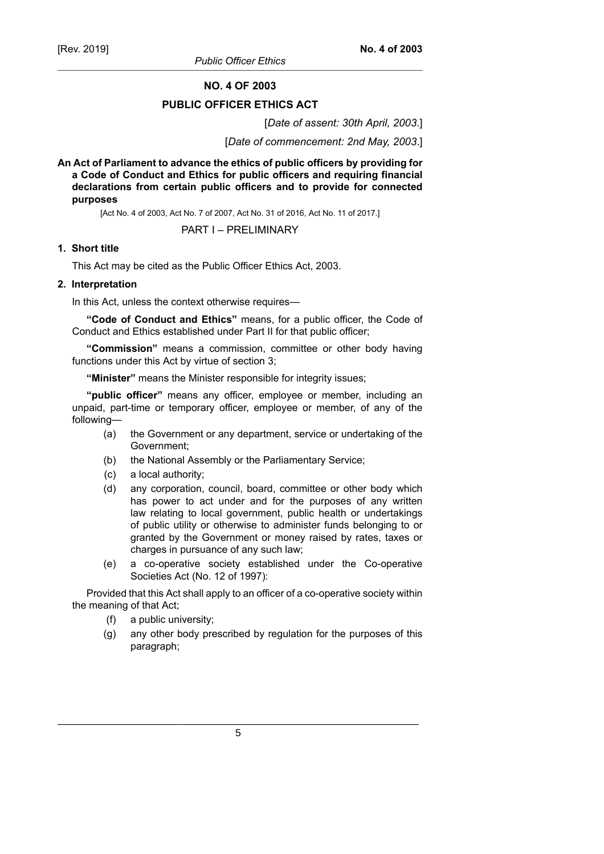**NO. 4 OF 2003**

# **PUBLIC OFFICER ETHICS ACT**

[*Date of assent: 30th April, 2003*.]

[*Date of commencement: 2nd May, 2003*.]

**An Act of Parliament to advance the ethics of public officers by providing for a Code of Conduct and Ethics for public officers and requiring financial declarations from certain public officers and to provide for connected purposes**

[Act No. 4 of 2003, Act No. 7 of 2007, Act No. 31 of 2016, Act No. 11 of 2017.]

### PART I – PRELIMINARY

### **1. Short title**

This Act may be cited as the Public Officer Ethics Act, 2003.

### **2. Interpretation**

In this Act, unless the context otherwise requires—

**"Code of Conduct and Ethics"** means, for a public officer, the Code of Conduct and Ethics established under Part II for that public officer;

**"Commission"** means a commission, committee or other body having functions under this Act by virtue of section 3;

**"Minister"** means the Minister responsible for integrity issues;

**"public officer"** means any officer, employee or member, including an unpaid, part-time or temporary officer, employee or member, of any of the following—

- (a) the Government or any department, service or undertaking of the Government;
- (b) the National Assembly or the Parliamentary Service;
- (c) a local authority;
- (d) any corporation, council, board, committee or other body which has power to act under and for the purposes of any written law relating to local government, public health or undertakings of public utility or otherwise to administer funds belonging to or granted by the Government or money raised by rates, taxes or charges in pursuance of any such law;
- (e) a co-operative society established under the Co-operative Societies Act (No. 12 of 1997):

Provided that this Act shall apply to an officer of a co-operative society within the meaning of that Act;

- (f) a public university;
- (g) any other body prescribed by regulation for the purposes of this paragraph;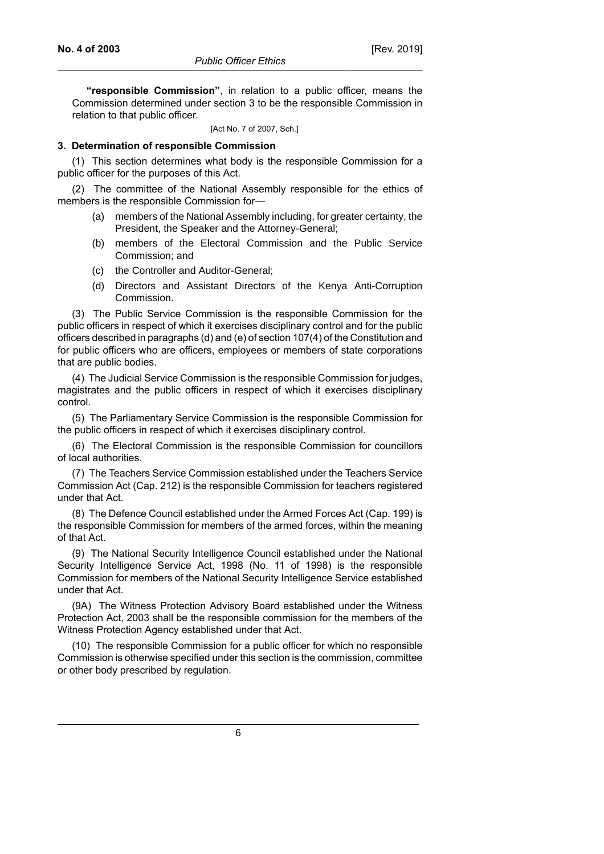**"responsible Commission"**, in relation to a public officer, means the Commission determined under section 3 to be the responsible Commission in relation to that public officer.

[Act No. 7 of 2007, Sch.]

#### **3. Determination of responsible Commission**

(1) This section determines what body is the responsible Commission for a public officer for the purposes of this Act.

(2) The committee of the National Assembly responsible for the ethics of members is the responsible Commission for—

- (a) members of the National Assembly including, for greater certainty, the President, the Speaker and the Attorney-General;
- (b) members of the Electoral Commission and the Public Service Commission; and
- (c) the Controller and Auditor-General;
- (d) Directors and Assistant Directors of the Kenya Anti-Corruption Commission.

(3) The Public Service Commission is the responsible Commission for the public officers in respect of which it exercises disciplinary control and for the public officers described in paragraphs (d) and (e) of section 107(4) of the Constitution and for public officers who are officers, employees or members of state corporations that are public bodies.

(4) The Judicial Service Commission is the responsible Commission for judges, magistrates and the public officers in respect of which it exercises disciplinary control.

(5) The Parliamentary Service Commission is the responsible Commission for the public officers in respect of which it exercises disciplinary control.

(6) The Electoral Commission is the responsible Commission for councillors of local authorities.

(7) The Teachers Service Commission established under the Teachers Service Commission Act (Cap. 212) is the responsible Commission for teachers registered under that Act.

(8) The Defence Council established under the Armed Forces Act (Cap. 199) is the responsible Commission for members of the armed forces, within the meaning of that Act.

(9) The National Security Intelligence Council established under the National Security Intelligence Service Act, 1998 (No. 11 of 1998) is the responsible Commission for members of the National Security Intelligence Service established under that Act.

(9A) The Witness Protection Advisory Board established under the Witness Protection Act, 2003 shall be the responsible commission for the members of the Witness Protection Agency established under that Act.

(10) The responsible Commission for a public officer for which no responsible Commission is otherwise specified under this section is the commission, committee or other body prescribed by regulation.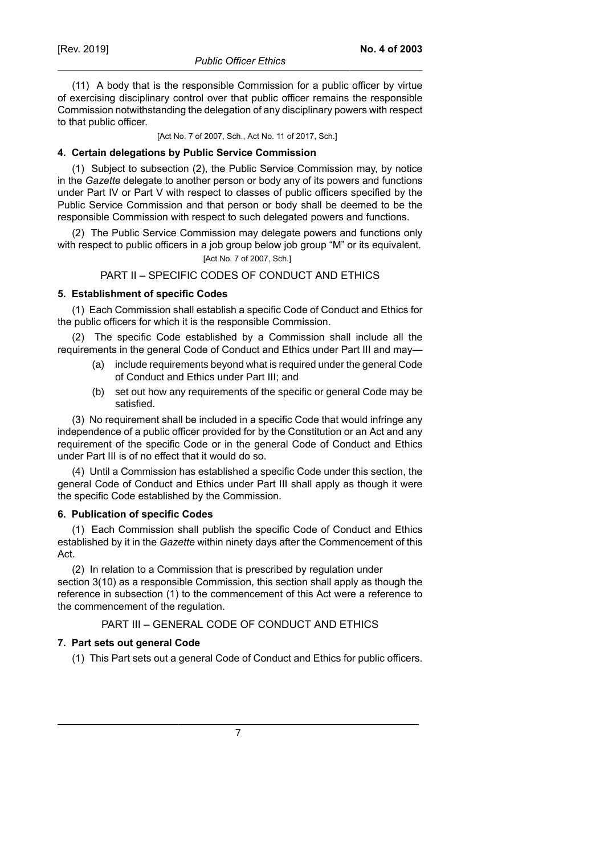**No. 4 of 2003**

(11) A body that is the responsible Commission for a public officer by virtue of exercising disciplinary control over that public officer remains the responsible Commission notwithstanding the delegation of any disciplinary powers with respect to that public officer.

[Act No. 7 of 2007, Sch., Act No. 11 of 2017, Sch.]

# **4. Certain delegations by Public Service Commission**

(1) Subject to subsection (2), the Public Service Commission may, by notice in the *Gazette* delegate to another person or body any of its powers and functions under Part IV or Part V with respect to classes of public officers specified by the Public Service Commission and that person or body shall be deemed to be the responsible Commission with respect to such delegated powers and functions.

(2) The Public Service Commission may delegate powers and functions only with respect to public officers in a job group below job group "M" or its equivalent. [Act No. 7 of 2007, Sch.]

# PART II – SPECIFIC CODES OF CONDUCT AND ETHICS

# **5. Establishment of specific Codes**

(1) Each Commission shall establish a specific Code of Conduct and Ethics for the public officers for which it is the responsible Commission.

(2) The specific Code established by a Commission shall include all the requirements in the general Code of Conduct and Ethics under Part III and may—

- (a) include requirements beyond what is required under the general Code of Conduct and Ethics under Part III; and
- (b) set out how any requirements of the specific or general Code may be satisfied.

(3) No requirement shall be included in a specific Code that would infringe any independence of a public officer provided for by the Constitution or an Act and any requirement of the specific Code or in the general Code of Conduct and Ethics under Part III is of no effect that it would do so.

(4) Until a Commission has established a specific Code under this section, the general Code of Conduct and Ethics under Part III shall apply as though it were the specific Code established by the Commission.

# **6. Publication of specific Codes**

(1) Each Commission shall publish the specific Code of Conduct and Ethics established by it in the *Gazette* within ninety days after the Commencement of this Act.

(2) In relation to a Commission that is prescribed by regulation under section 3(10) as a responsible Commission, this section shall apply as though the reference in subsection (1) to the commencement of this Act were a reference to the commencement of the regulation.

PART III – GENERAL CODE OF CONDUCT AND ETHICS

# **7. Part sets out general Code**

(1) This Part sets out a general Code of Conduct and Ethics for public officers.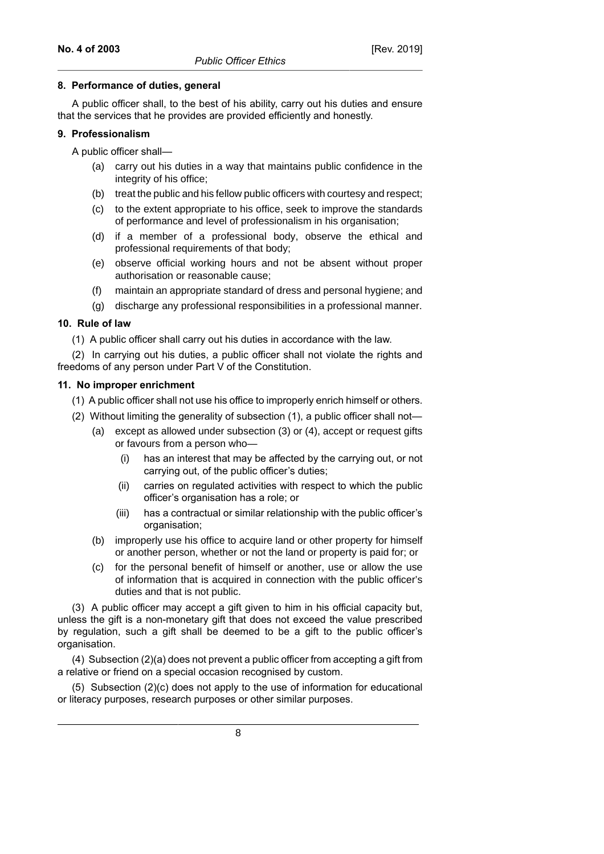#### **8. Performance of duties, general**

A public officer shall, to the best of his ability, carry out his duties and ensure that the services that he provides are provided efficiently and honestly.

### **9. Professionalism**

A public officer shall—

- (a) carry out his duties in a way that maintains public confidence in the integrity of his office;
- (b) treat the public and his fellow public officers with courtesy and respect;
- (c) to the extent appropriate to his office, seek to improve the standards of performance and level of professionalism in his organisation;
- (d) if a member of a professional body, observe the ethical and professional requirements of that body;
- (e) observe official working hours and not be absent without proper authorisation or reasonable cause;
- (f) maintain an appropriate standard of dress and personal hygiene; and
- (g) discharge any professional responsibilities in a professional manner.

# **10. Rule of law**

(1) A public officer shall carry out his duties in accordance with the law.

(2) In carrying out his duties, a public officer shall not violate the rights and freedoms of any person under Part V of the Constitution.

### **11. No improper enrichment**

- (1) A public officer shall not use his office to improperly enrich himself or others.
- (2) Without limiting the generality of subsection (1), a public officer shall not—
	- (a) except as allowed under subsection (3) or (4), accept or request gifts or favours from a person who—
		- (i) has an interest that may be affected by the carrying out, or not carrying out, of the public officer's duties;
		- (ii) carries on regulated activities with respect to which the public officer's organisation has a role; or
		- (iii) has a contractual or similar relationship with the public officer's organisation;
	- (b) improperly use his office to acquire land or other property for himself or another person, whether or not the land or property is paid for; or
	- (c) for the personal benefit of himself or another, use or allow the use of information that is acquired in connection with the public officer's duties and that is not public.

(3) A public officer may accept a gift given to him in his official capacity but, unless the gift is a non-monetary gift that does not exceed the value prescribed by regulation, such a gift shall be deemed to be a gift to the public officer's organisation.

(4) Subsection (2)(a) does not prevent a public officer from accepting a gift from a relative or friend on a special occasion recognised by custom.

(5) Subsection (2)(c) does not apply to the use of information for educational or literacy purposes, research purposes or other similar purposes.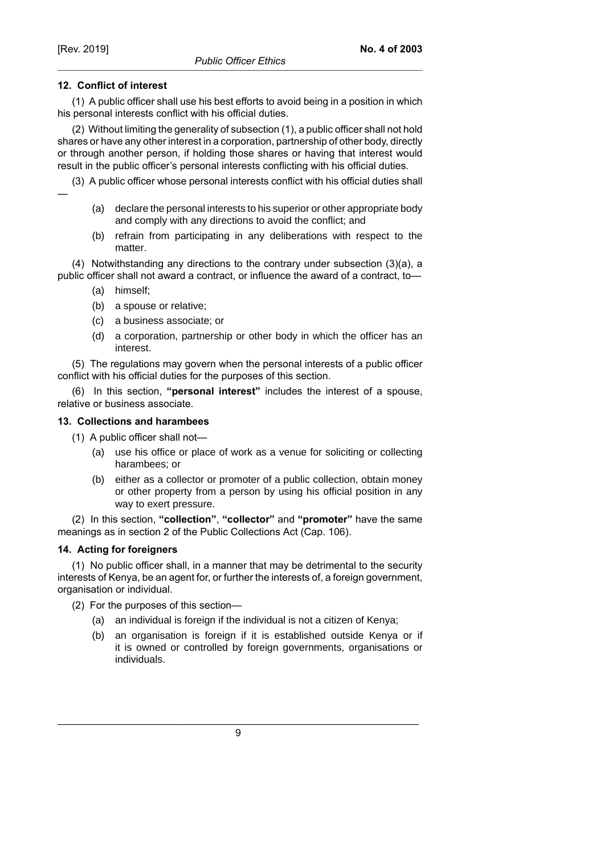—

# **12. Conflict of interest**

(1) A public officer shall use his best efforts to avoid being in a position in which his personal interests conflict with his official duties.

(2) Without limiting the generality of subsection (1), a public officer shall not hold shares or have any other interest in a corporation, partnership of other body, directly or through another person, if holding those shares or having that interest would result in the public officer's personal interests conflicting with his official duties.

(3) A public officer whose personal interests conflict with his official duties shall

- (a) declare the personal interests to his superior or other appropriate body and comply with any directions to avoid the conflict; and
- (b) refrain from participating in any deliberations with respect to the matter.

(4) Notwithstanding any directions to the contrary under subsection (3)(a), a public officer shall not award a contract, or influence the award of a contract, to—

- (a) himself;
- (b) a spouse or relative;
- (c) a business associate; or
- (d) a corporation, partnership or other body in which the officer has an interest.

(5) The regulations may govern when the personal interests of a public officer conflict with his official duties for the purposes of this section.

(6) In this section, **"personal interest"** includes the interest of a spouse, relative or business associate.

# **13. Collections and harambees**

- (1) A public officer shall not—
	- (a) use his office or place of work as a venue for soliciting or collecting harambees; or
	- (b) either as a collector or promoter of a public collection, obtain money or other property from a person by using his official position in any way to exert pressure.

(2) In this section, **"collection"**, **"collector"** and **"promoter"** have the same meanings as in section 2 of the Public Collections Act (Cap. 106).

# **14. Acting for foreigners**

(1) No public officer shall, in a manner that may be detrimental to the security interests of Kenya, be an agent for, or further the interests of, a foreign government, organisation or individual.

(2) For the purposes of this section—

- (a) an individual is foreign if the individual is not a citizen of Kenya;
- (b) an organisation is foreign if it is established outside Kenya or if it is owned or controlled by foreign governments, organisations or individuals.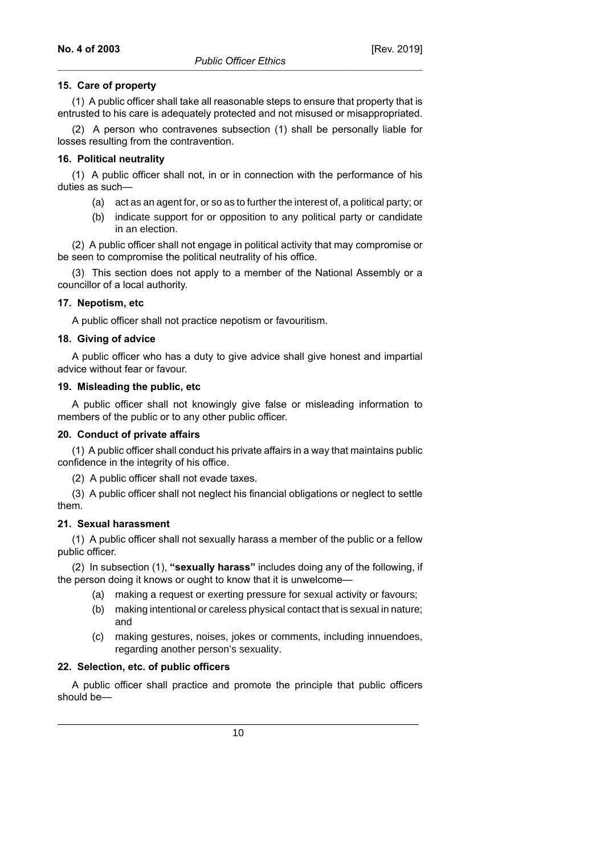# **15. Care of property**

(1) A public officer shall take all reasonable steps to ensure that property that is entrusted to his care is adequately protected and not misused or misappropriated.

(2) A person who contravenes subsection (1) shall be personally liable for losses resulting from the contravention.

# **16. Political neutrality**

(1) A public officer shall not, in or in connection with the performance of his duties as such—

- (a) act as an agent for, or so as to further the interest of, a political party; or
- (b) indicate support for or opposition to any political party or candidate in an election.

(2) A public officer shall not engage in political activity that may compromise or be seen to compromise the political neutrality of his office.

(3) This section does not apply to a member of the National Assembly or a councillor of a local authority.

# **17. Nepotism, etc**

A public officer shall not practice nepotism or favouritism.

# **18. Giving of advice**

A public officer who has a duty to give advice shall give honest and impartial advice without fear or favour.

### **19. Misleading the public, etc**

A public officer shall not knowingly give false or misleading information to members of the public or to any other public officer.

### **20. Conduct of private affairs**

(1) A public officer shall conduct his private affairs in a way that maintains public confidence in the integrity of his office.

(2) A public officer shall not evade taxes.

(3) A public officer shall not neglect his financial obligations or neglect to settle them.

### **21. Sexual harassment**

(1) A public officer shall not sexually harass a member of the public or a fellow public officer.

(2) In subsection (1), **"sexually harass"** includes doing any of the following, if the person doing it knows or ought to know that it is unwelcome—

- (a) making a request or exerting pressure for sexual activity or favours;
- (b) making intentional or careless physical contact that is sexual in nature; and
- (c) making gestures, noises, jokes or comments, including innuendoes, regarding another person's sexuality.

### **22. Selection, etc. of public officers**

A public officer shall practice and promote the principle that public officers should be—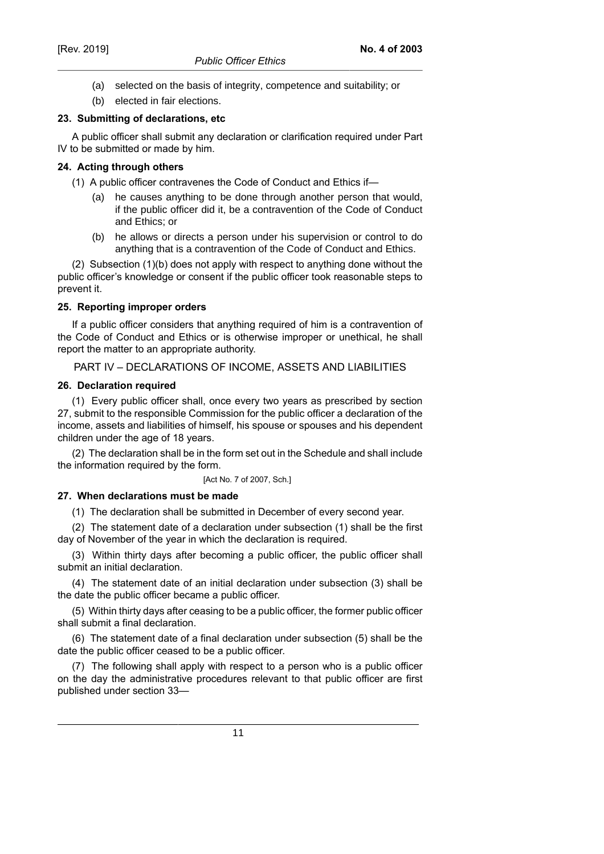- (a) selected on the basis of integrity, competence and suitability; or
- (b) elected in fair elections.

# **23. Submitting of declarations, etc**

A public officer shall submit any declaration or clarification required under Part IV to be submitted or made by him.

# **24. Acting through others**

- (1) A public officer contravenes the Code of Conduct and Ethics if
	- he causes anything to be done through another person that would, if the public officer did it, be a contravention of the Code of Conduct and Ethics; or
	- (b) he allows or directs a person under his supervision or control to do anything that is a contravention of the Code of Conduct and Ethics.

(2) Subsection (1)(b) does not apply with respect to anything done without the public officer's knowledge or consent if the public officer took reasonable steps to prevent it.

# **25. Reporting improper orders**

If a public officer considers that anything required of him is a contravention of the Code of Conduct and Ethics or is otherwise improper or unethical, he shall report the matter to an appropriate authority.

# PART IV – DECLARATIONS OF INCOME, ASSETS AND LIABILITIES

# **26. Declaration required**

(1) Every public officer shall, once every two years as prescribed by section 27, submit to the responsible Commission for the public officer a declaration of the income, assets and liabilities of himself, his spouse or spouses and his dependent children under the age of 18 years.

(2) The declaration shall be in the form set out in the Schedule and shall include the information required by the form.

[Act No. 7 of 2007, Sch.]

# **27. When declarations must be made**

(1) The declaration shall be submitted in December of every second year.

(2) The statement date of a declaration under subsection (1) shall be the first day of November of the year in which the declaration is required.

(3) Within thirty days after becoming a public officer, the public officer shall submit an initial declaration.

(4) The statement date of an initial declaration under subsection (3) shall be the date the public officer became a public officer.

(5) Within thirty days after ceasing to be a public officer, the former public officer shall submit a final declaration.

(6) The statement date of a final declaration under subsection (5) shall be the date the public officer ceased to be a public officer.

(7) The following shall apply with respect to a person who is a public officer on the day the administrative procedures relevant to that public officer are first published under section 33—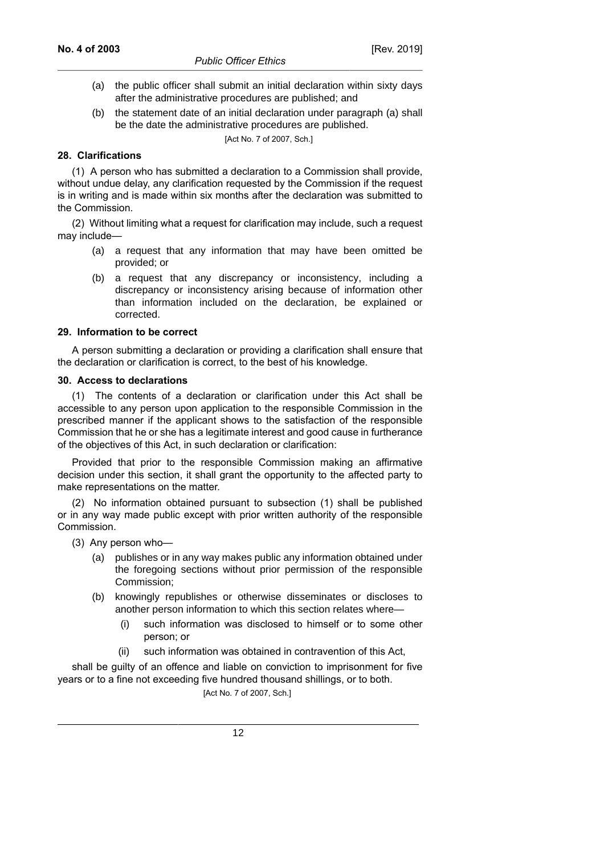- (a) the public officer shall submit an initial declaration within sixty days after the administrative procedures are published; and
- (b) the statement date of an initial declaration under paragraph (a) shall be the date the administrative procedures are published.

[Act No. 7 of 2007, Sch.]

#### **28. Clarifications**

(1) A person who has submitted a declaration to a Commission shall provide, without undue delay, any clarification requested by the Commission if the request is in writing and is made within six months after the declaration was submitted to the Commission.

(2) Without limiting what a request for clarification may include, such a request may include—

- (a) a request that any information that may have been omitted be provided; or
- (b) a request that any discrepancy or inconsistency, including a discrepancy or inconsistency arising because of information other than information included on the declaration, be explained or corrected.

#### **29. Information to be correct**

A person submitting a declaration or providing a clarification shall ensure that the declaration or clarification is correct, to the best of his knowledge.

#### **30. Access to declarations**

(1) The contents of a declaration or clarification under this Act shall be accessible to any person upon application to the responsible Commission in the prescribed manner if the applicant shows to the satisfaction of the responsible Commission that he or she has a legitimate interest and good cause in furtherance of the objectives of this Act, in such declaration or clarification:

Provided that prior to the responsible Commission making an affirmative decision under this section, it shall grant the opportunity to the affected party to make representations on the matter.

(2) No information obtained pursuant to subsection (1) shall be published or in any way made public except with prior written authority of the responsible Commission.

(3) Any person who—

- (a) publishes or in any way makes public any information obtained under the foregoing sections without prior permission of the responsible Commission;
- (b) knowingly republishes or otherwise disseminates or discloses to another person information to which this section relates where—
	- (i) such information was disclosed to himself or to some other person; or
	- (ii) such information was obtained in contravention of this Act,

shall be guilty of an offence and liable on conviction to imprisonment for five years or to a fine not exceeding five hundred thousand shillings, or to both.

[Act No. 7 of 2007, Sch.]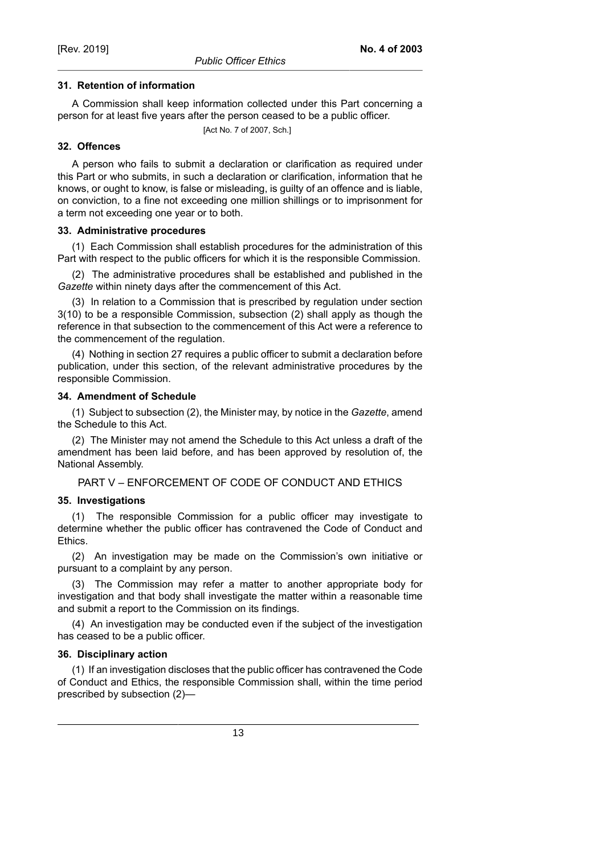#### **31. Retention of information**

A Commission shall keep information collected under this Part concerning a person for at least five years after the person ceased to be a public officer.

[Act No. 7 of 2007, Sch.]

#### **32. Offences**

A person who fails to submit a declaration or clarification as required under this Part or who submits, in such a declaration or clarification, information that he knows, or ought to know, is false or misleading, is guilty of an offence and is liable, on conviction, to a fine not exceeding one million shillings or to imprisonment for a term not exceeding one year or to both.

#### **33. Administrative procedures**

(1) Each Commission shall establish procedures for the administration of this Part with respect to the public officers for which it is the responsible Commission.

(2) The administrative procedures shall be established and published in the *Gazette* within ninety days after the commencement of this Act.

(3) In relation to a Commission that is prescribed by regulation under section 3(10) to be a responsible Commission, subsection (2) shall apply as though the reference in that subsection to the commencement of this Act were a reference to the commencement of the regulation.

(4) Nothing in section 27 requires a public officer to submit a declaration before publication, under this section, of the relevant administrative procedures by the responsible Commission.

#### **34. Amendment of Schedule**

(1) Subject to subsection (2), the Minister may, by notice in the *Gazette*, amend the Schedule to this Act.

(2) The Minister may not amend the Schedule to this Act unless a draft of the amendment has been laid before, and has been approved by resolution of, the National Assembly.

PART V – ENFORCEMENT OF CODE OF CONDUCT AND ETHICS

### **35. Investigations**

(1) The responsible Commission for a public officer may investigate to determine whether the public officer has contravened the Code of Conduct and Ethics.

(2) An investigation may be made on the Commission's own initiative or pursuant to a complaint by any person.

(3) The Commission may refer a matter to another appropriate body for investigation and that body shall investigate the matter within a reasonable time and submit a report to the Commission on its findings.

(4) An investigation may be conducted even if the subject of the investigation has ceased to be a public officer.

### **36. Disciplinary action**

(1) If an investigation discloses that the public officer has contravened the Code of Conduct and Ethics, the responsible Commission shall, within the time period prescribed by subsection (2)—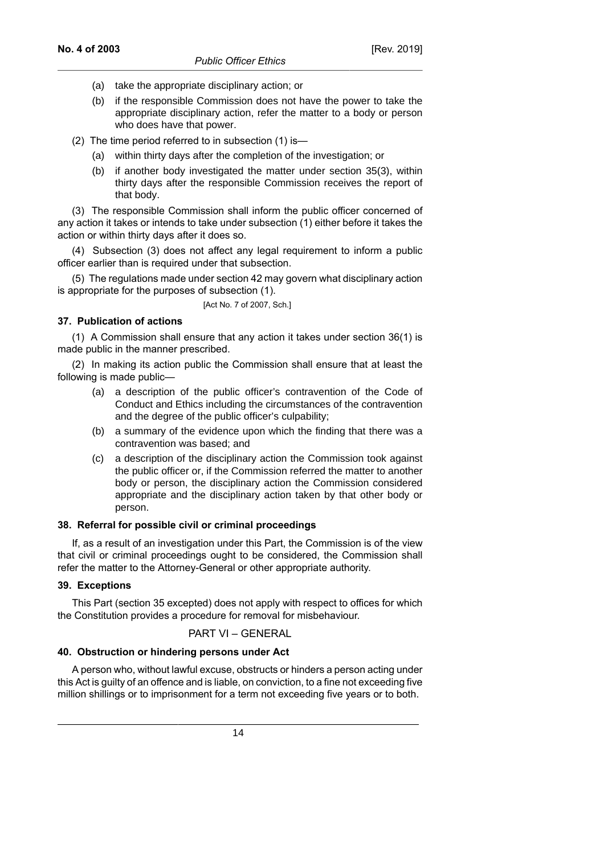- (a) take the appropriate disciplinary action; or
- (b) if the responsible Commission does not have the power to take the appropriate disciplinary action, refer the matter to a body or person who does have that power.
- (2) The time period referred to in subsection (1) is—
	- (a) within thirty days after the completion of the investigation; or
	- (b) if another body investigated the matter under section 35(3), within thirty days after the responsible Commission receives the report of that body.

(3) The responsible Commission shall inform the public officer concerned of any action it takes or intends to take under subsection (1) either before it takes the action or within thirty days after it does so.

(4) Subsection (3) does not affect any legal requirement to inform a public officer earlier than is required under that subsection.

(5) The regulations made under section 42 may govern what disciplinary action is appropriate for the purposes of subsection (1).

[Act No. 7 of 2007, Sch.]

# **37. Publication of actions**

(1) A Commission shall ensure that any action it takes under section 36(1) is made public in the manner prescribed.

(2) In making its action public the Commission shall ensure that at least the following is made public—

- (a) a description of the public officer's contravention of the Code of Conduct and Ethics including the circumstances of the contravention and the degree of the public officer's culpability;
- (b) a summary of the evidence upon which the finding that there was a contravention was based; and
- (c) a description of the disciplinary action the Commission took against the public officer or, if the Commission referred the matter to another body or person, the disciplinary action the Commission considered appropriate and the disciplinary action taken by that other body or person.

### **38. Referral for possible civil or criminal proceedings**

If, as a result of an investigation under this Part, the Commission is of the view that civil or criminal proceedings ought to be considered, the Commission shall refer the matter to the Attorney-General or other appropriate authority.

# **39. Exceptions**

This Part (section 35 excepted) does not apply with respect to offices for which the Constitution provides a procedure for removal for misbehaviour.

PART VI – GENERAL

### **40. Obstruction or hindering persons under Act**

A person who, without lawful excuse, obstructs or hinders a person acting under this Act is guilty of an offence and is liable, on conviction, to a fine not exceeding five million shillings or to imprisonment for a term not exceeding five years or to both.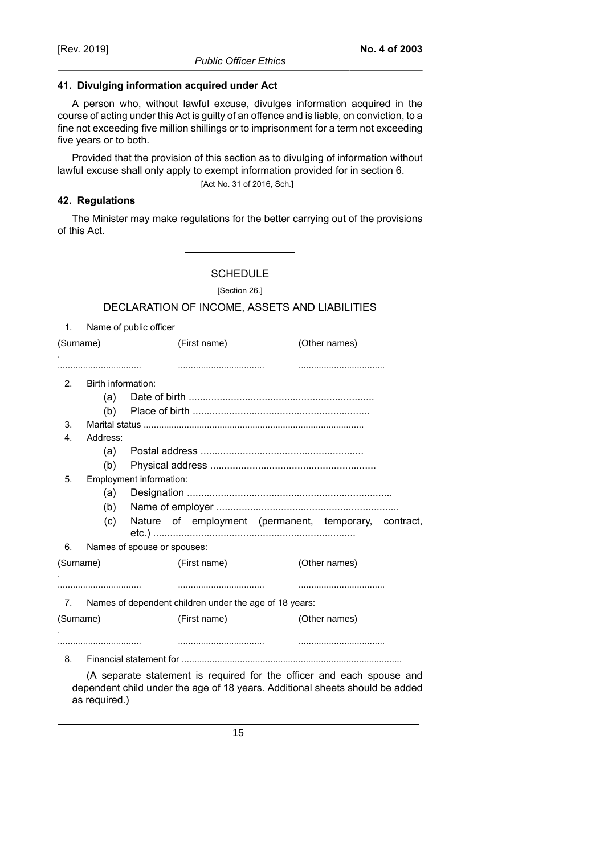### **41. Divulging information acquired under Act**

A person who, without lawful excuse, divulges information acquired in the course of acting under this Act is guilty of an offence and is liable, on conviction, to a fine not exceeding five million shillings or to imprisonment for a term not exceeding five years or to both.

Provided that the provision of this section as to divulging of information without lawful excuse shall only apply to exempt information provided for in section 6.

[Act No. 31 of 2016, Sch.]

# **42. Regulations**

as required.)

The Minister may make regulations for the better carrying out of the provisions of this Act.

**SCHEDULE** 

[Section 26.]

# DECLARATION OF INCOME, ASSETS AND LIABILITIES

| 1.             |                             | Name of public officer                                                                                                                                |               |  |  |  |
|----------------|-----------------------------|-------------------------------------------------------------------------------------------------------------------------------------------------------|---------------|--|--|--|
| (Surname)      |                             | (First name)                                                                                                                                          | (Other names) |  |  |  |
|                |                             |                                                                                                                                                       |               |  |  |  |
| 2 <sub>1</sub> | Birth information:          |                                                                                                                                                       |               |  |  |  |
|                | (a)                         |                                                                                                                                                       |               |  |  |  |
|                | (b)                         |                                                                                                                                                       |               |  |  |  |
| 3.             |                             |                                                                                                                                                       |               |  |  |  |
| 4.             | Address:                    |                                                                                                                                                       |               |  |  |  |
|                | (a)                         |                                                                                                                                                       |               |  |  |  |
|                | (b)                         |                                                                                                                                                       |               |  |  |  |
| 5.             | Employment information:     |                                                                                                                                                       |               |  |  |  |
|                | (a)                         |                                                                                                                                                       |               |  |  |  |
|                | (b)                         |                                                                                                                                                       |               |  |  |  |
|                | (c)                         | Nature of employment (permanent, temporary, contract,                                                                                                 |               |  |  |  |
| 6.             | Names of spouse or spouses: |                                                                                                                                                       |               |  |  |  |
| (Surname)      |                             | (First name)                                                                                                                                          | (Other names) |  |  |  |
|                |                             |                                                                                                                                                       |               |  |  |  |
| 7.             |                             | Names of dependent children under the age of 18 years:                                                                                                |               |  |  |  |
| (Surname)      |                             | (First name)                                                                                                                                          | (Other names) |  |  |  |
|                |                             |                                                                                                                                                       |               |  |  |  |
| 8.             |                             |                                                                                                                                                       |               |  |  |  |
|                |                             | (A separate statement is required for the officer and each spouse and<br>dependent child under the age of 18 years. Additional sheets should be added |               |  |  |  |

15